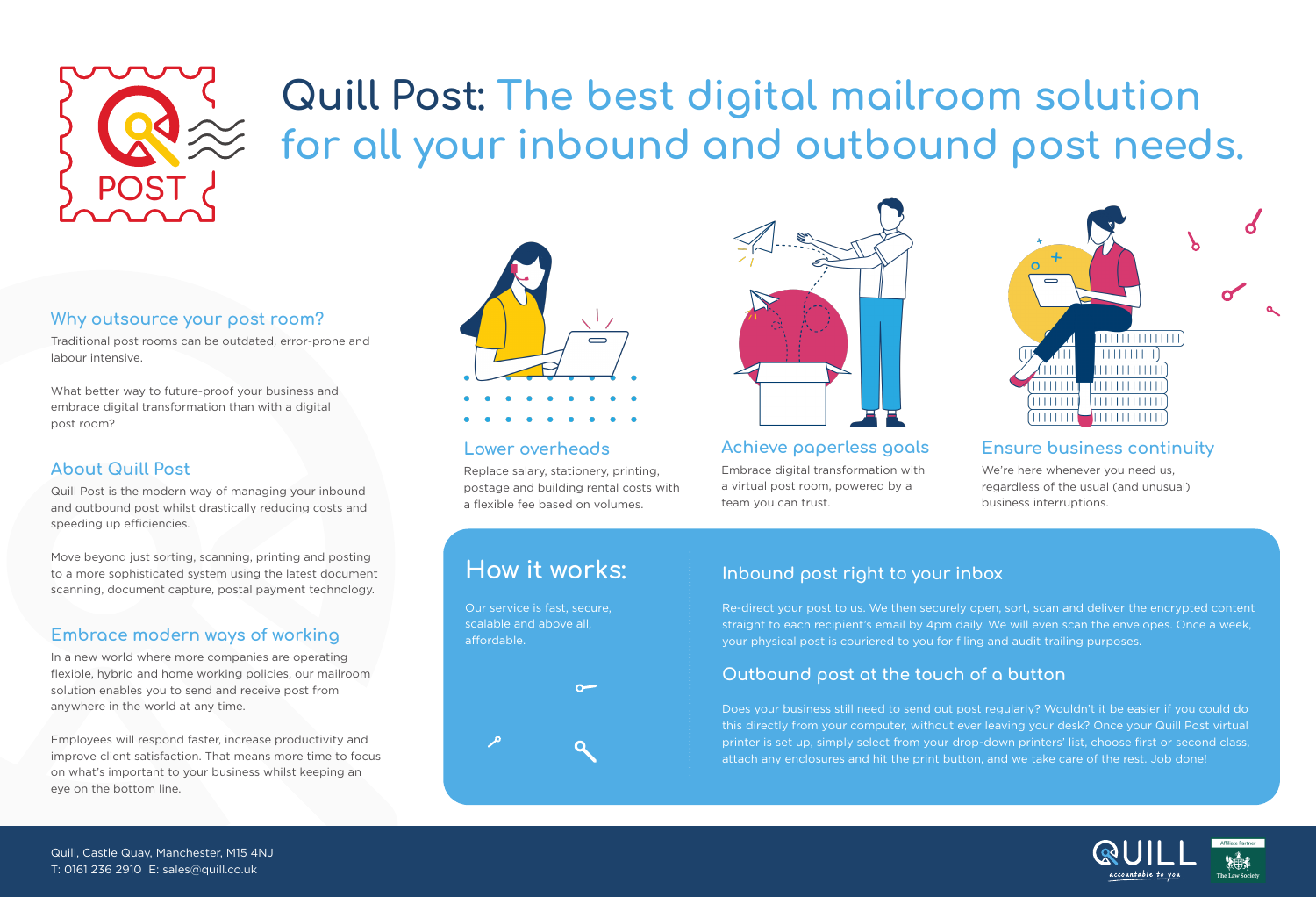

# **Quill Post: The best digital mailroom solution for all your inbound and outbound post needs.**

#### **Why outsource your post room?**

Traditional post rooms can be outdated, error-prone and labour intensive.

What better way to future-proof your business and embrace digital transformation than with a digital post room?

#### **About Quill Post**

Quill Post is the modern way of managing your inbound and outbound post whilst drastically reducing costs and speeding up efficiencies.

Move beyond just sorting, scanning, printing and posting to a more sophisticated system using the latest document scanning, document capture, postal payment technology.

### **Embrace modern ways of working**

In a new world where more companies are operating flexible, hybrid and home working policies, our mailroom solution enables you to send and receive post from anywhere in the world at any time.

Employees will respond faster, increase productivity and improve client satisfaction. That means more time to focus on what's important to your business whilst keeping an eye on the bottom line.



#### **Lower overheads**

Replace salary, stationery, printing, postage and building rental costs with a flexible fee based on volumes.



**Achieve paperless goals** Embrace digital transformation with a virtual post room, powered by a team you can trust.



#### **Ensure business continuity**

We're here whenever you need us, regardless of the usual (and unusual) business interruptions.

## **How it works:**

Our service is fast, secure, scalable and above all, affordable.



#### **Inbound post right to your inbox**

Re-direct your post to us. We then securely open, sort, scan and deliver the encrypted content straight to each recipient's email by 4pm daily. We will even scan the envelopes. Once a week, your physical post is couriered to you for filing and audit trailing purposes.

#### **Outbound post at the touch of a button**

Does your business still need to send out post regularly? Wouldn't it be easier if you could do this directly from your computer, without ever leaving your desk? Once your Quill Post virtual printer is set up, simply select from your drop-down printers' list, choose first or second class, attach any enclosures and hit the print button, and we take care of the rest. Job done!